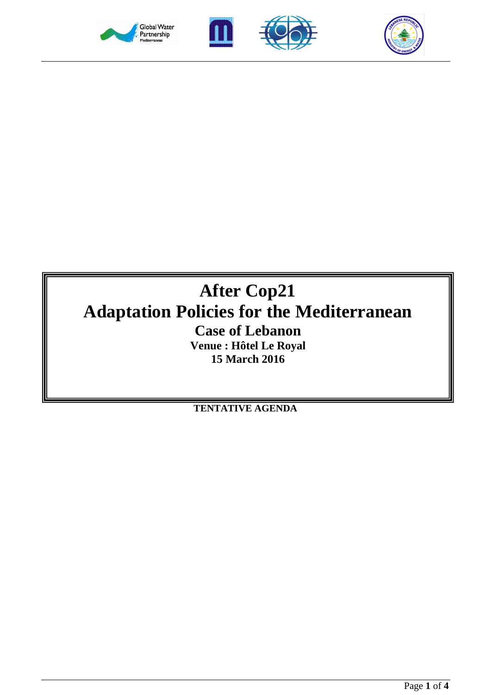





# **After Cop21 Adaptation Policies for the Mediterranean Case of Lebanon Venue : Hôtel Le Royal 15 March 2016**

**TENTATIVE AGENDA**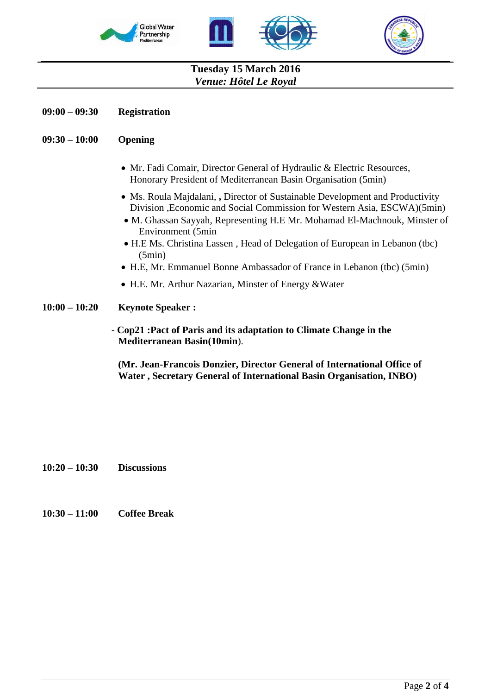





# **Tuesday 15 March 2016** *Venue: Hôtel Le Royal*

**09:00 – 09:30 Registration**

#### **09:30 – 10:00 Opening**

- Mr. Fadi Comair, Director General of Hydraulic & Electric Resources, Honorary President of Mediterranean Basin Organisation (5min)
- Ms. Roula Majdalani, **,** Director of Sustainable Development and Productivity Division ,Economic and Social Commission for Western Asia, ESCWA)(5min)
- M. Ghassan Sayyah, Representing H.E Mr. Mohamad El-Machnouk, Minster of Environment (5min
- H.E Ms. Christina Lassen , Head of Delegation of European in Lebanon (tbc) (5min)
- H.E, Mr. Emmanuel Bonne Ambassador of France in Lebanon (tbc) (5min)
- H.E. Mr. Arthur Nazarian, Minster of Energy & Water

#### **10:00 – 10:20 Keynote Speaker :**

 **- Cop21 :Pact of Paris and its adaptation to Climate Change in the Mediterranean Basin(10min**).

**(Mr. Jean-Francois Donzier, Director General of International Office of Water , Secretary General of International Basin Organisation, INBO)** 

**10:20 – 10:30 Discussions**

**10:30 – 11:00 Coffee Break**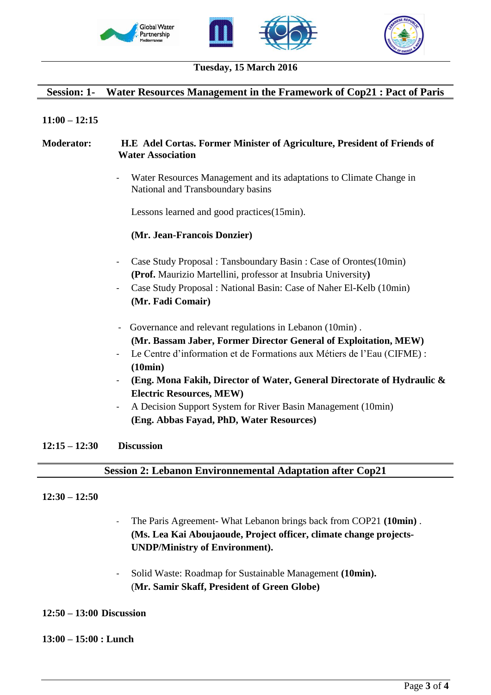





#### **Tuesday, 15 March 2016**

#### **Session: 1- Water Resources Management in the Framework of Cop21 : Pact of Paris**

### **11:00 – 12:15**

# **Moderator: H.E Adel Cortas. Former Minister of Agriculture, President of Friends of Water Association** Water Resources Management and its adaptations to Climate Change in National and Transboundary basins Lessons learned and good practices(15min). **(Mr. Jean-Francois Donzier)** - Case Study Proposal : Tansboundary Basin : Case of Orontes(10min) **(Prof.** Maurizio Martellini, professor at Insubria University**)** - Case Study Proposal : National Basin: Case of Naher El-Kelb (10min) **(Mr. Fadi Comair)** - Governance and relevant regulations in Lebanon (10min) . **(Mr. Bassam Jaber, Former Director General of Exploitation, MEW)** Le Centre d'information et de Formations aux Métiers de l'Eau (CIFME) : **(10min)** - **(Eng. Mona Fakih, Director of Water, General Directorate of Hydraulic & Electric Resources, MEW)** - A Decision Support System for River Basin Management (10min) **(Eng. Abbas Fayad, PhD, Water Resources)**

#### **12:15 – 12:30 Discussion**

## **Session 2: Lebanon Environnemental Adaptation after Cop21**

#### **12:30 – 12:50**

- The Paris Agreement- What Lebanon brings back from COP21 **(10min)** . **(Ms. Lea Kai Aboujaoude, Project officer, climate change projects-UNDP/Ministry of Environment).**
- Solid Waste: Roadmap for Sustainable Management **(10min).** (**Mr. Samir Skaff, President of Green Globe)**

## **12:50 – 13:00 Discussion**

#### **13:00 – 15:00 : Lunch**